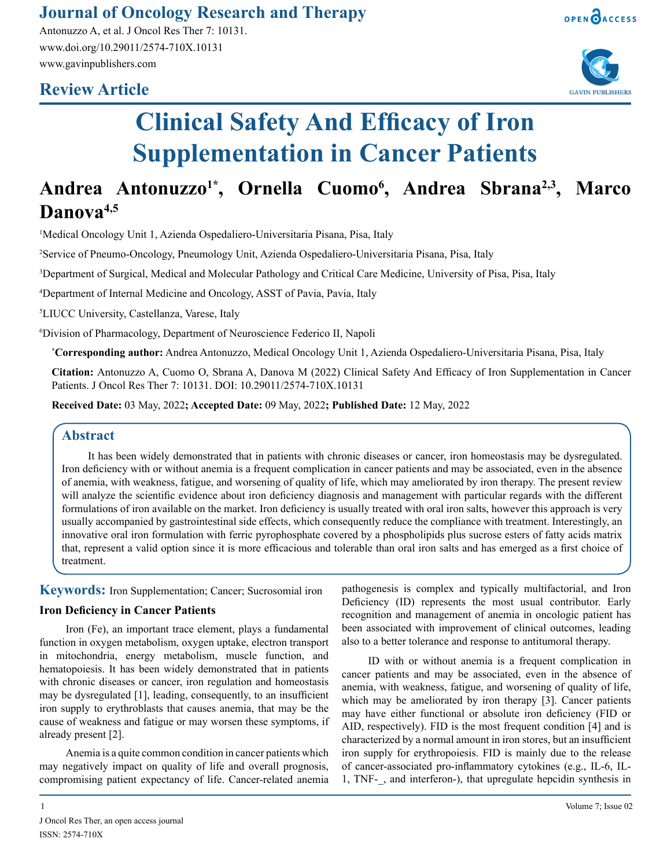### **Journal of Oncology Research and Therapy**

Antonuzzo A, et al. J Oncol Res Ther 7: 10131. www.doi.org/10.29011/2574-710X.10131 www.gavinpublishers.com

## **Review Article**





# **Clinical Safety And Efficacy of Iron Supplementation in Cancer Patients**

# **Andrea Antonuzzo1\*, Ornella Cuomo<sup>6</sup> , Andrea Sbrana2,3, Marco Danova4,5**

<sup>1</sup>Medical Oncology Unit 1, Azienda Ospedaliero-Universitaria Pisana, Pisa, Italy

2 Service of Pneumo-Oncology, Pneumology Unit, Azienda Ospedaliero-Universitaria Pisana, Pisa, Italy

3 Department of Surgical, Medical and Molecular Pathology and Critical Care Medicine, University of Pisa, Pisa, Italy

4 Department of Internal Medicine and Oncology, ASST of Pavia, Pavia, Italy

5 LIUCC University, Castellanza, Varese, Italy

6 Division of Pharmacology, Department of Neuroscience Federico II, Napoli

**\* Corresponding author:** Andrea Antonuzzo, Medical Oncology Unit 1, Azienda Ospedaliero-Universitaria Pisana, Pisa, Italy

**Citation:** Antonuzzo A, Cuomo O, Sbrana A, Danova M (2022) Clinical Safety And Efficacy of Iron Supplementation in Cancer Patients. J Oncol Res Ther 7: 10131. DOI: 10.29011/2574-710X.10131

**Received Date:** 03 May, 2022**; Accepted Date:** 09 May, 2022**; Published Date:** 12 May, 2022

#### **Abstract**

It has been widely demonstrated that in patients with chronic diseases or cancer, iron homeostasis may be dysregulated. Iron deficiency with or without anemia is a frequent complication in cancer patients and may be associated, even in the absence of anemia, with weakness, fatigue, and worsening of quality of life, which may ameliorated by iron therapy. The present review will analyze the scientific evidence about iron deficiency diagnosis and management with particular regards with the different formulations of iron available on the market. Iron deficiency is usually treated with oral iron salts, however this approach is very usually accompanied by gastrointestinal side effects, which consequently reduce the compliance with treatment. Interestingly, an innovative oral iron formulation with ferric pyrophosphate covered by a phospholipids plus sucrose esters of fatty acids matrix that, represent a valid option since it is more efficacious and tolerable than oral iron salts and has emerged as a first choice of treatment.

**Keywords:** Iron Supplementation; Cancer; Sucrosomial iron

#### **Iron Deficiency in Cancer Patients**

Iron (Fe), an important trace element, plays a fundamental function in oxygen metabolism, oxygen uptake, electron transport in mitochondria, energy metabolism, muscle function, and hematopoiesis. It has been widely demonstrated that in patients with chronic diseases or cancer, iron regulation and homeostasis may be dysregulated [1], leading, consequently, to an insufficient iron supply to erythroblasts that causes anemia, that may be the cause of weakness and fatigue or may worsen these symptoms, if already present [2].

Anemia is a quite common condition in cancer patients which may negatively impact on quality of life and overall prognosis, compromising patient expectancy of life. Cancer-related anemia

pathogenesis is complex and typically multifactorial, and Iron Deficiency (ID) represents the most usual contributor. Early recognition and management of anemia in oncologic patient has been associated with improvement of clinical outcomes, leading also to a better tolerance and response to antitumoral therapy.

ID with or without anemia is a frequent complication in cancer patients and may be associated, even in the absence of anemia, with weakness, fatigue, and worsening of quality of life, which may be ameliorated by iron therapy [3]. Cancer patients may have either functional or absolute iron deficiency (FID or AID, respectively). FID is the most frequent condition [4] and is characterized by a normal amount in iron stores, but an insufficient iron supply for erythropoiesis. FID is mainly due to the release of cancer-associated pro-inflammatory cytokines (e.g., IL-6, IL-1, TNF-\_, and interferon-), that upregulate hepcidin synthesis in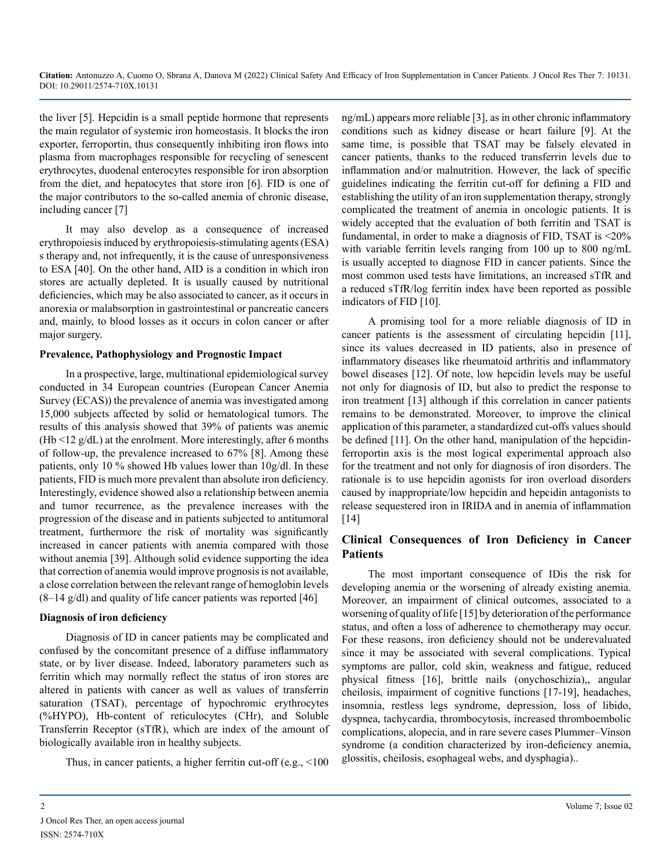the liver [5]. Hepcidin is a small peptide hormone that represents the main regulator of systemic iron homeostasis. It blocks the iron exporter, ferroportin, thus consequently inhibiting iron flows into plasma from macrophages responsible for recycling of senescent erythrocytes, duodenal enterocytes responsible for iron absorption from the diet, and hepatocytes that store iron [6]. FID is one of the major contributors to the so-called anemia of chronic disease, including cancer [7]

It may also develop as a consequence of increased erythropoiesis induced by erythropoiesis-stimulating agents (ESA) s therapy and, not infrequently, it is the cause of unresponsiveness to ESA [40]. On the other hand, AID is a condition in which iron stores are actually depleted. It is usually caused by nutritional deficiencies, which may be also associated to cancer, as it occurs in anorexia or malabsorption in gastrointestinal or pancreatic cancers and, mainly, to blood losses as it occurs in colon cancer or after major surgery.

#### **Prevalence, Pathophysiology and Prognostic Impact**

In a prospective, large, multinational epidemiological survey conducted in 34 European countries (European Cancer Anemia Survey (ECAS)) the prevalence of anemia was investigated among 15,000 subjects affected by solid or hematological tumors. The results of this analysis showed that 39% of patients was anemic (Hb <12 g/dL) at the enrolment. More interestingly, after 6 months of follow-up, the prevalence increased to 67% [8]. Among these patients, only 10 % showed Hb values lower than 10g/dl. In these patients, FID is much more prevalent than absolute iron deficiency. Interestingly, evidence showed also a relationship between anemia and tumor recurrence, as the prevalence increases with the progression of the disease and in patients subjected to antitumoral treatment, furthermore the risk of mortality was significantly increased in cancer patients with anemia compared with those without anemia [39]. Although solid evidence supporting the idea that correction of anemia would improve prognosis is not available, a close correlation between the relevant range of hemoglobin levels  $(8-14 \text{ g/dl})$  and quality of life cancer patients was reported [46]

#### **Diagnosis of iron deficiency**

Diagnosis of ID in cancer patients may be complicated and confused by the concomitant presence of a diffuse inflammatory state, or by liver disease. Indeed, laboratory parameters such as ferritin which may normally reflect the status of iron stores are altered in patients with cancer as well as values of transferrin saturation (TSAT), percentage of hypochromic erythrocytes (%HYPO), Hb-content of reticulocytes (CHr), and Soluble Transferrin Receptor (sTfR), which are index of the amount of biologically available iron in healthy subjects.

Thus, in cancer patients, a higher ferritin cut-off (e.g., <100

ng/mL) appears more reliable [3], as in other chronic inflammatory conditions such as kidney disease or heart failure [9]. At the same time, is possible that TSAT may be falsely elevated in cancer patients, thanks to the reduced transferrin levels due to inflammation and/or malnutrition. However, the lack of specific guidelines indicating the ferritin cut-off for defining a FID and establishing the utility of an iron supplementation therapy, strongly complicated the treatment of anemia in oncologic patients. It is widely accepted that the evaluation of both ferritin and TSAT is fundamental, in order to make a diagnosis of FID, TSAT is <20% with variable ferritin levels ranging from 100 up to 800 ng/mL is usually accepted to diagnose FID in cancer patients. Since the most common used tests have limitations, an increased sTfR and a reduced sTfR/log ferritin index have been reported as possible indicators of FID [10].

A promising tool for a more reliable diagnosis of ID in cancer patients is the assessment of circulating hepcidin [11], since its values decreased in ID patients, also in presence of inflammatory diseases like rheumatoid arthritis and inflammatory bowel diseases [12]. Of note, low hepcidin levels may be useful not only for diagnosis of ID, but also to predict the response to iron treatment [13] although if this correlation in cancer patients remains to be demonstrated. Moreover, to improve the clinical application of this parameter, a standardized cut-offs values should be defined [11]. On the other hand, manipulation of the hepcidinferroportin axis is the most logical experimental approach also for the treatment and not only for diagnosis of iron disorders. The rationale is to use hepcidin agonists for iron overload disorders caused by inappropriate/low hepcidin and hepcidin antagonists to release sequestered iron in IRIDA and in anemia of inflammation [14]

#### **Clinical Consequences of Iron Deficiency in Cancer Patients**

The most important consequence of IDis the risk for developing anemia or the worsening of already existing anemia. Moreover, an impairment of clinical outcomes, associated to a worsening of quality of life [15] by deterioration of the performance status, and often a loss of adherence to chemotherapy may occur. For these reasons, iron deficiency should not be underevaluated since it may be associated with several complications. Typical symptoms are pallor, cold skin, weakness and fatigue, reduced physical fitness [16], brittle nails (onychoschizia),, angular cheilosis, impairment of cognitive functions [17-19], headaches, insomnia, restless legs syndrome, depression, loss of libido, dyspnea, tachycardia, thrombocytosis, increased thromboembolic complications, alopecia, and in rare severe cases Plummer–Vinson syndrome (a condition characterized by iron-deficiency anemia, glossitis, cheilosis, esophageal webs, and dysphagia)..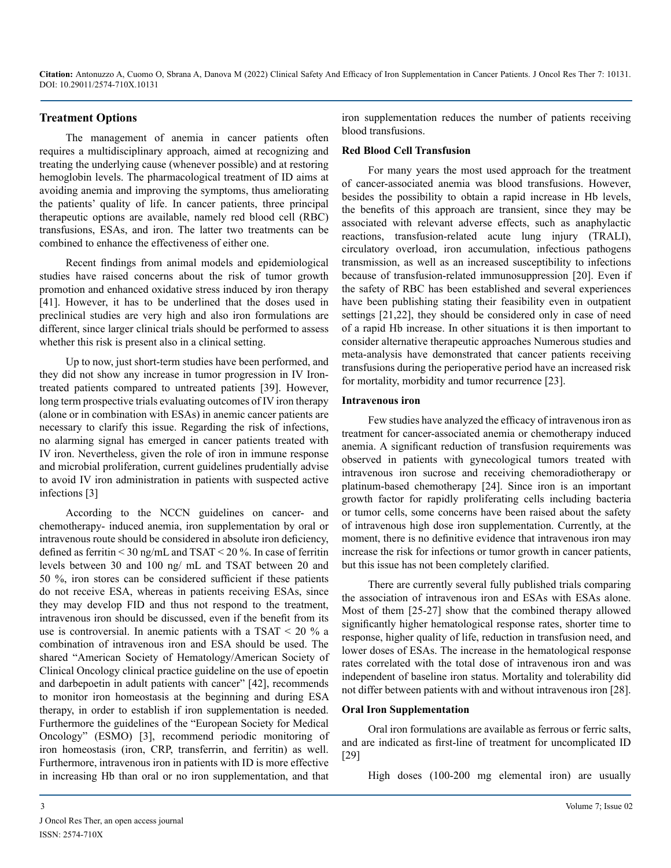#### **Treatment Options**

The management of anemia in cancer patients often requires a multidisciplinary approach, aimed at recognizing and treating the underlying cause (whenever possible) and at restoring hemoglobin levels. The pharmacological treatment of ID aims at avoiding anemia and improving the symptoms, thus ameliorating the patients' quality of life. In cancer patients, three principal therapeutic options are available, namely red blood cell (RBC) transfusions, ESAs, and iron. The latter two treatments can be combined to enhance the effectiveness of either one.

Recent findings from animal models and epidemiological studies have raised concerns about the risk of tumor growth promotion and enhanced oxidative stress induced by iron therapy [41]. However, it has to be underlined that the doses used in preclinical studies are very high and also iron formulations are different, since larger clinical trials should be performed to assess whether this risk is present also in a clinical setting.

Up to now, just short-term studies have been performed, and they did not show any increase in tumor progression in IV Irontreated patients compared to untreated patients [39]. However, long term prospective trials evaluating outcomes of IV iron therapy (alone or in combination with ESAs) in anemic cancer patients are necessary to clarify this issue. Regarding the risk of infections, no alarming signal has emerged in cancer patients treated with IV iron. Nevertheless, given the role of iron in immune response and microbial proliferation, current guidelines prudentially advise to avoid IV iron administration in patients with suspected active infections [3]

According to the NCCN guidelines on cancer- and chemotherapy- induced anemia, iron supplementation by oral or intravenous route should be considered in absolute iron deficiency, defined as ferritin  $\leq$  30 ng/mL and TSAT  $\leq$  20 %. In case of ferritin levels between 30 and 100 ng/ mL and TSAT between 20 and 50 %, iron stores can be considered sufficient if these patients do not receive ESA, whereas in patients receiving ESAs, since they may develop FID and thus not respond to the treatment, intravenous iron should be discussed, even if the benefit from its use is controversial. In anemic patients with a TSAT  $\leq$  20  $\%$  a combination of intravenous iron and ESA should be used. The shared "American Society of Hematology/American Society of Clinical Oncology clinical practice guideline on the use of epoetin and darbepoetin in adult patients with cancer" [42], recommends to monitor iron homeostasis at the beginning and during ESA therapy, in order to establish if iron supplementation is needed. Furthermore the guidelines of the "European Society for Medical Oncology" (ESMO) [3], recommend periodic monitoring of iron homeostasis (iron, CRP, transferrin, and ferritin) as well. Furthermore, intravenous iron in patients with ID is more effective in increasing Hb than oral or no iron supplementation, and that

iron supplementation reduces the number of patients receiving blood transfusions.

#### **Red Blood Cell Transfusion**

For many years the most used approach for the treatment of cancer-associated anemia was blood transfusions. However, besides the possibility to obtain a rapid increase in Hb levels, the benefits of this approach are transient, since they may be associated with relevant adverse effects, such as anaphylactic reactions, transfusion-related acute lung injury (TRALI), circulatory overload, iron accumulation, infectious pathogens transmission, as well as an increased susceptibility to infections because of transfusion-related immunosuppression [20]. Even if the safety of RBC has been established and several experiences have been publishing stating their feasibility even in outpatient settings [21,22], they should be considered only in case of need of a rapid Hb increase. In other situations it is then important to consider alternative therapeutic approaches Numerous studies and meta-analysis have demonstrated that cancer patients receiving transfusions during the perioperative period have an increased risk for mortality, morbidity and tumor recurrence [23].

#### **Intravenous iron**

Few studies have analyzed the efficacy of intravenous iron as treatment for cancer-associated anemia or chemotherapy induced anemia. A significant reduction of transfusion requirements was observed in patients with gynecological tumors treated with intravenous iron sucrose and receiving chemoradiotherapy or platinum-based chemotherapy [24]. Since iron is an important growth factor for rapidly proliferating cells including bacteria or tumor cells, some concerns have been raised about the safety of intravenous high dose iron supplementation. Currently, at the moment, there is no definitive evidence that intravenous iron may increase the risk for infections or tumor growth in cancer patients, but this issue has not been completely clarified.

There are currently several fully published trials comparing the association of intravenous iron and ESAs with ESAs alone. Most of them [25-27] show that the combined therapy allowed significantly higher hematological response rates, shorter time to response, higher quality of life, reduction in transfusion need, and lower doses of ESAs. The increase in the hematological response rates correlated with the total dose of intravenous iron and was independent of baseline iron status. Mortality and tolerability did not differ between patients with and without intravenous iron [28].

#### **Oral Iron Supplementation**

Oral iron formulations are available as ferrous or ferric salts, and are indicated as first-line of treatment for uncomplicated ID [29]

High doses (100-200 mg elemental iron) are usually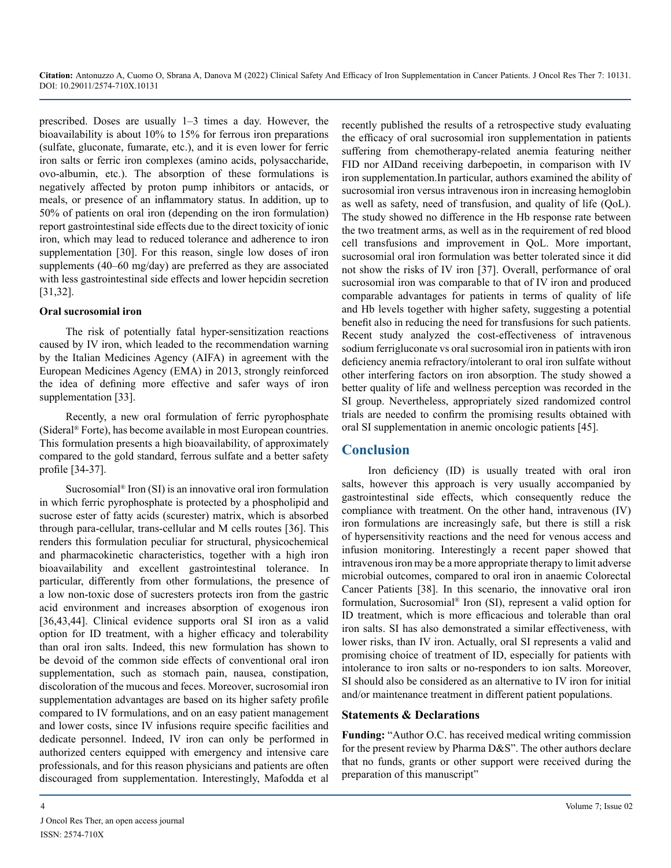prescribed. Doses are usually 1–3 times a day. However, the bioavailability is about 10% to 15% for ferrous iron preparations (sulfate, gluconate, fumarate, etc.), and it is even lower for ferric iron salts or ferric iron complexes (amino acids, polysaccharide, ovo-albumin, etc.). The absorption of these formulations is negatively affected by proton pump inhibitors or antacids, or meals, or presence of an inflammatory status. In addition, up to 50% of patients on oral iron (depending on the iron formulation) report gastrointestinal side effects due to the direct toxicity of ionic iron, which may lead to reduced tolerance and adherence to iron supplementation [30]. For this reason, single low doses of iron supplements (40–60 mg/day) are preferred as they are associated with less gastrointestinal side effects and lower hepcidin secretion [31,32].

#### **Oral sucrosomial iron**

The risk of potentially fatal hyper-sensitization reactions caused by IV iron, which leaded to the recommendation warning by the Italian Medicines Agency (AIFA) in agreement with the European Medicines Agency (EMA) in 2013, strongly reinforced the idea of defining more effective and safer ways of iron supplementation [33].

Recently, a new oral formulation of ferric pyrophosphate (Sideral® Forte), has become available in most European countries. This formulation presents a high bioavailability, of approximately compared to the gold standard, ferrous sulfate and a better safety profile [34-37].

Sucrosomial® Iron (SI) is an innovative oral iron formulation in which ferric pyrophosphate is protected by a phospholipid and sucrose ester of fatty acids (scurester) matrix, which is absorbed through para-cellular, trans-cellular and M cells routes [36]. This renders this formulation peculiar for structural, physicochemical and pharmacokinetic characteristics, together with a high iron bioavailability and excellent gastrointestinal tolerance. In particular, differently from other formulations, the presence of a low non-toxic dose of sucresters protects iron from the gastric acid environment and increases absorption of exogenous iron [36,43,44]. Clinical evidence supports oral SI iron as a valid option for ID treatment, with a higher efficacy and tolerability than oral iron salts. Indeed, this new formulation has shown to be devoid of the common side effects of conventional oral iron supplementation, such as stomach pain, nausea, constipation, discoloration of the mucous and feces. Moreover, sucrosomial iron supplementation advantages are based on its higher safety profile compared to IV formulations, and on an easy patient management and lower costs, since IV infusions require specific facilities and dedicate personnel. Indeed, IV iron can only be performed in authorized centers equipped with emergency and intensive care professionals, and for this reason physicians and patients are often discouraged from supplementation. Interestingly, Mafodda et al

recently published the results of a retrospective study evaluating the efficacy of oral sucrosomial iron supplementation in patients suffering from chemotherapy-related anemia featuring neither FID nor AIDand receiving darbepoetin, in comparison with IV iron supplementation.In particular, authors examined the ability of sucrosomial iron versus intravenous iron in increasing hemoglobin as well as safety, need of transfusion, and quality of life (QoL). The study showed no difference in the Hb response rate between the two treatment arms, as well as in the requirement of red blood cell transfusions and improvement in QoL. More important, sucrosomial oral iron formulation was better tolerated since it did not show the risks of IV iron [37]. Overall, performance of oral sucrosomial iron was comparable to that of IV iron and produced comparable advantages for patients in terms of quality of life and Hb levels together with higher safety, suggesting a potential benefit also in reducing the need for transfusions for such patients. Recent study analyzed the cost-effectiveness of intravenous sodium ferrigluconate vs oral sucrosomial iron in patients with iron deficiency anemia refractory/intolerant to oral iron sulfate without other interfering factors on iron absorption. The study showed a better quality of life and wellness perception was recorded in the SI group. Nevertheless, appropriately sized randomized control trials are needed to confirm the promising results obtained with oral SI supplementation in anemic oncologic patients [45].

#### **Conclusion**

Iron deficiency (ID) is usually treated with oral iron salts, however this approach is very usually accompanied by gastrointestinal side effects, which consequently reduce the compliance with treatment. On the other hand, intravenous (IV) iron formulations are increasingly safe, but there is still a risk of hypersensitivity reactions and the need for venous access and infusion monitoring. Interestingly a recent paper showed that intravenous iron may be a more appropriate therapy to limit adverse microbial outcomes, compared to oral iron in anaemic Colorectal Cancer Patients [38]. In this scenario, the innovative oral iron formulation, Sucrosomial® Iron (SI), represent a valid option for ID treatment, which is more efficacious and tolerable than oral iron salts. SI has also demonstrated a similar effectiveness, with lower risks, than IV iron. Actually, oral SI represents a valid and promising choice of treatment of ID, especially for patients with intolerance to iron salts or no-responders to ion salts. Moreover, SI should also be considered as an alternative to IV iron for initial and/or maintenance treatment in different patient populations.

#### **Statements & Declarations**

**Funding:** "Author O.C. has received medical writing commission for the present review by Pharma D&S". The other authors declare that no funds, grants or other support were received during the preparation of this manuscript"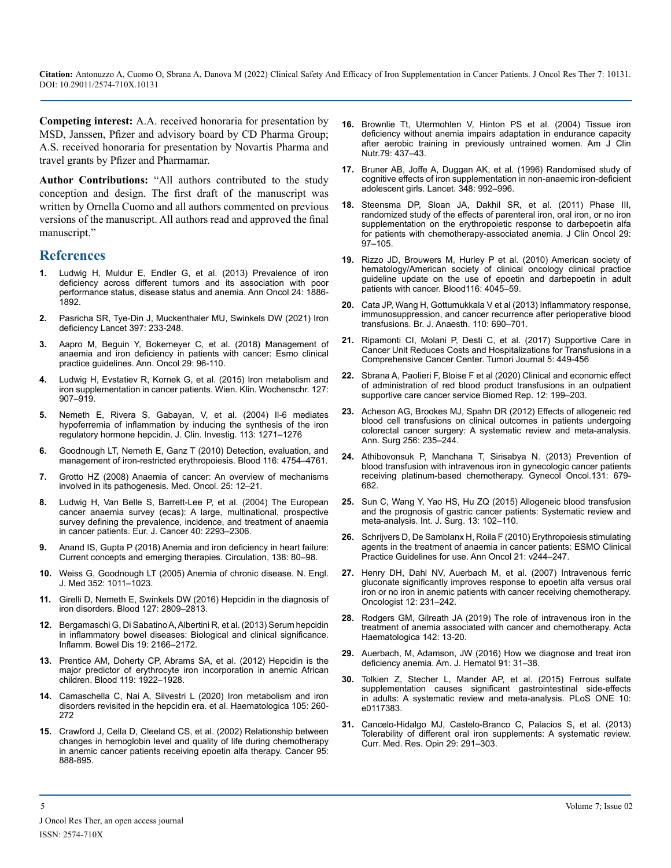**Competing interest:** A.A. received honoraria for presentation by MSD, Janssen, Pfizer and advisory board by CD Pharma Group; A.S. received honoraria for presentation by Novartis Pharma and travel grants by Pfizer and Pharmamar.

**Author Contributions:** "All authors contributed to the study conception and design. The first draft of the manuscript was written by Ornella Cuomo and all authors commented on previous versions of the manuscript. All authors read and approved the final manuscript."

#### **References**

- **1.** [Ludwig H, Muldur E, Endler G, et al. \(2013\) Prevalence of iron](https://pubmed.ncbi.nlm.nih.gov/23567147/)  [deficiency across different tumors and its association with poor](https://pubmed.ncbi.nlm.nih.gov/23567147/)  [performance status, disease status and anemia. Ann Oncol 24: 1886-](https://pubmed.ncbi.nlm.nih.gov/23567147/) [1892.](https://pubmed.ncbi.nlm.nih.gov/23567147/)
- **2.** [Pasricha SR, Tye-Din J, Muckenthaler MU, Swinkels DW \(2021\) Iron](https://pubmed.ncbi.nlm.nih.gov/33285139/)  [deficiency Lancet 397: 233-248.](https://pubmed.ncbi.nlm.nih.gov/33285139/)
- **3.** [Aapro M, Beguin Y, Bokemeyer C, et al. \(2018\) Management of](https://pubmed.ncbi.nlm.nih.gov/29471514/)  [anaemia and iron deficiency in patients with cancer: Esmo clinical](https://pubmed.ncbi.nlm.nih.gov/29471514/)  [practice guidelines. Ann. Oncol 29: 96-110.](https://pubmed.ncbi.nlm.nih.gov/29471514/)
- **4.** [Ludwig H, Evstatiev R, Kornek G, et al. \(2015\) Iron metabolism and](https://pubmed.ncbi.nlm.nih.gov/26373748/)  [iron supplementation in cancer patients. Wien. Klin. Wochenschr. 127:](https://pubmed.ncbi.nlm.nih.gov/26373748/)  [907–919.](https://pubmed.ncbi.nlm.nih.gov/26373748/)
- **5.** [Nemeth E, Rivera S, Gabayan, V, et al. \(2004\) Il-6 mediates](https://pubmed.ncbi.nlm.nih.gov/15124018/)  [hypoferremia of inflammation by inducing the synthesis of the iron](https://pubmed.ncbi.nlm.nih.gov/15124018/)  [regulatory hormone hepcidin. J. Clin. Investig. 113: 1271–1276](https://pubmed.ncbi.nlm.nih.gov/15124018/)
- **6.** [Goodnough LT, Nemeth E, Ganz T \(2010\) Detection, evaluation, and](https://ashpublications.org/blood/article/116/23/4754/28336/Detection-evaluation-and-management-of-iron)  [management of iron-restricted erythropoiesis. Blood 116: 4754–4761](https://ashpublications.org/blood/article/116/23/4754/28336/Detection-evaluation-and-management-of-iron).
- **7.** [Grotto HZ \(2008\) Anaemia of cancer: An overview of mechanisms](https://pubmed.ncbi.nlm.nih.gov/18188710/)  [involved in its pathogenesis. Med. Oncol. 25: 12–21.](https://pubmed.ncbi.nlm.nih.gov/18188710/)
- **8.** [Ludwig H, Van Belle S, Barrett-Lee P, et al. \(2004\) The European](https://pubmed.ncbi.nlm.nih.gov/15454256/)  [cancer anaemia survey \(ecas\): A large, multinational, prospective](https://pubmed.ncbi.nlm.nih.gov/15454256/)  [survey defining the prevalence, incidence, and treatment of anaemia](https://pubmed.ncbi.nlm.nih.gov/15454256/)  [in cancer patients. Eur. J. Cancer 40: 2293–2306.](https://pubmed.ncbi.nlm.nih.gov/15454256/)
- **9.** [Anand IS, Gupta P \(2018\) Anemia and iron deficiency in heart failure:](https://pubmed.ncbi.nlm.nih.gov/29967232/)  [Current concepts and emerging therapies. Circulation, 138: 80–98.](https://pubmed.ncbi.nlm.nih.gov/29967232/)
- **10.** [Weiss G, Goodnough LT \(2005\) Anemia of chronic disease. N. Engl.](https://pubmed.ncbi.nlm.nih.gov/15758012/)  [J. Med 352: 1011–1023.](https://pubmed.ncbi.nlm.nih.gov/15758012/)
- **11.** [Girelli D, Nemeth E, Swinkels DW \(2016\) Hepcidin in the diagnosis of](https://pubmed.ncbi.nlm.nih.gov/27044621/)  [iron disorders. Blood 127: 2809–2813](https://pubmed.ncbi.nlm.nih.gov/27044621/).
- **12.** [Bergamaschi G, Di Sabatino A, Albertini R, et al. \(2013\) Serum hepcidin](https://pubmed.ncbi.nlm.nih.gov/23867871/)  [in inflammatory bowel diseases: Biological and clinical significance.](https://pubmed.ncbi.nlm.nih.gov/23867871/)  [Inflamm. Bowel Dis 19: 2166–2172.](https://pubmed.ncbi.nlm.nih.gov/23867871/)
- **13.** [Prentice AM, Doherty CP, Abrams SA, et al. \(2012\) Hepcidin is the](https://www.ncbi.nlm.nih.gov/pmc/articles/PMC3351093/)  [major predictor of erythrocyte iron incorporation in anemic African](https://www.ncbi.nlm.nih.gov/pmc/articles/PMC3351093/)  [children. Blood 119: 1922–1928](https://www.ncbi.nlm.nih.gov/pmc/articles/PMC3351093/).
- **14.** [Camaschella C, Nai A, Silvestri L \(2020\) Iron metabolism and iron](https://www.haematologica.org/article/view/9512)  [disorders revisited in the hepcidin era. et al. Haematologica 105: 260-](https://www.haematologica.org/article/view/9512) [272](https://www.haematologica.org/article/view/9512)
- **15.** [Crawford J, Cella D, Cleeland CS, et al. \(2002\) Relationship between](https://pubmed.ncbi.nlm.nih.gov/12209734/)  [changes in hemoglobin level and quality of life during chemotherapy](https://pubmed.ncbi.nlm.nih.gov/12209734/)  [in anemic cancer patients receiving epoetin alfa therapy. Cancer 95:](https://pubmed.ncbi.nlm.nih.gov/12209734/)  [888-895.](https://pubmed.ncbi.nlm.nih.gov/12209734/)
- **16.** [Brownlie Tt, Utermohlen V, Hinton PS et al. \(2004\) Tissue iron](https://pubmed.ncbi.nlm.nih.gov/14985219/)  [deficiency without anemia impairs adaptation in endurance capacity](https://pubmed.ncbi.nlm.nih.gov/14985219/)  [after aerobic training in previously untrained women. Am J Clin](https://pubmed.ncbi.nlm.nih.gov/14985219/)  [Nutr.79: 437–43](https://pubmed.ncbi.nlm.nih.gov/14985219/).
- **17.** [Bruner AB, Joffe A, Duggan AK, et al. \(1996\) Randomised study of](https://pubmed.ncbi.nlm.nih.gov/8855856/)  [cognitive effects of iron supplementation in non-anaemic iron-deficient](https://pubmed.ncbi.nlm.nih.gov/8855856/)  [adolescent girls. Lancet. 348: 992–996.](https://pubmed.ncbi.nlm.nih.gov/8855856/)
- **18.** [Steensma DP, Sloan JA, Dakhil SR, et al. \(2011\) Phase III,](https://pubmed.ncbi.nlm.nih.gov/21098317/) [randomized study of the effects of parenteral iron, oral iron, or no iron](https://pubmed.ncbi.nlm.nih.gov/21098317/)  [supplementation on the erythropoietic response to darbepoetin alfa](https://pubmed.ncbi.nlm.nih.gov/21098317/)  [for patients with chemotherapy-associated anemia. J Clin Oncol 29:](https://pubmed.ncbi.nlm.nih.gov/21098317/)  [97–105](https://pubmed.ncbi.nlm.nih.gov/21098317/).
- **19.** [Rizzo JD, Brouwers M, Hurley P et al. \(2010\) American society of](https://pubmed.ncbi.nlm.nih.gov/20975064/)  [hematology/American society of clinical oncology clinical practice](https://pubmed.ncbi.nlm.nih.gov/20975064/)  [guideline update on the use of epoetin and darbepoetin in adult](https://pubmed.ncbi.nlm.nih.gov/20975064/)  [patients with cancer. Blood116: 4045–59.](https://pubmed.ncbi.nlm.nih.gov/20975064/)
- **20.** [Cata JP, Wang H, Gottumukkala V et al \(2013\) Inflammatory response,](https://pubmed.ncbi.nlm.nih.gov/23599512/)  [immunosuppression, and cancer recurrence after perioperative blood](https://pubmed.ncbi.nlm.nih.gov/23599512/)  [transfusions. Br. J. Anaesth. 110: 690–701](https://pubmed.ncbi.nlm.nih.gov/23599512/).
- **21.** [Ripamonti CI, Molani P, Desti C, et al. \(2017\) Supportive Care in](https://pubmed.ncbi.nlm.nih.gov/28478645/)  [Cancer Unit Reduces Costs and Hospitalizations for Transfusions in a](https://pubmed.ncbi.nlm.nih.gov/28478645/)  [Comprehensive Cancer Center. Tumori Journal 5: 449-456](https://pubmed.ncbi.nlm.nih.gov/28478645/)
- **22.** [Sbrana A, Paolieri F, Bloise F et al \(2020\) Clinical and economic effect](https://pubmed.ncbi.nlm.nih.gov/32190308/) [of administration of red blood product transfusions in an outpatient](https://pubmed.ncbi.nlm.nih.gov/32190308/)  [supportive care cancer service Biomed Rep. 12: 199–203](https://pubmed.ncbi.nlm.nih.gov/32190308/).
- **23.** [Acheson AG, Brookes MJ, Spahn DR \(2012\) Effects of allogeneic red](https://pubmed.ncbi.nlm.nih.gov/22791100/)  [blood cell transfusions on clinical outcomes in patients undergoing](https://pubmed.ncbi.nlm.nih.gov/22791100/)  [colorectal cancer surgery: A systematic review and meta-analysis.](https://pubmed.ncbi.nlm.nih.gov/22791100/)  [Ann. Surg 256: 235–244](https://pubmed.ncbi.nlm.nih.gov/22791100/).
- **24.** [Athibovonsuk P, Manchana T, Sirisabya N. \(2013\) Prevention of](https://pubmed.ncbi.nlm.nih.gov/24099839/) [blood transfusion with intravenous iron in gynecologic cancer patients](https://pubmed.ncbi.nlm.nih.gov/24099839/)  [receiving platinum-based chemotherapy. Gynecol Oncol.131: 679-](https://pubmed.ncbi.nlm.nih.gov/24099839/) [682](https://pubmed.ncbi.nlm.nih.gov/24099839/).
- **25.** [Sun C, Wang Y, Yao HS, Hu ZQ \(2015\) Allogeneic blood transfusion](https://pubmed.ncbi.nlm.nih.gov/25486261/)  [and the prognosis of gastric cancer patients: Systematic review and](https://pubmed.ncbi.nlm.nih.gov/25486261/)  [meta-analysis. Int. J. Surg. 13: 102–110.](https://pubmed.ncbi.nlm.nih.gov/25486261/)
- **26.** [Schrijvers D, De Samblanx H, Roila F \(2010\) Erythropoiesis stimulating](https://pubmed.ncbi.nlm.nih.gov/20555090/)  [agents in the treatment of anaemia in cancer patients: ESMO Clinical](https://pubmed.ncbi.nlm.nih.gov/20555090/)  [Practice Guidelines for use. Ann Oncol 21: v244–247](https://pubmed.ncbi.nlm.nih.gov/20555090/).
- **27.** [Henry DH, Dahl NV, Auerbach M, et al. \(2007\) Intravenous ferric](https://pubmed.ncbi.nlm.nih.gov/17296819/)  [gluconate significantly improves response to epoetin alfa versus oral](https://pubmed.ncbi.nlm.nih.gov/17296819/)  [iron or no iron in anemic patients with cancer receiving chemotherapy.](https://pubmed.ncbi.nlm.nih.gov/17296819/)  [Oncologist 12: 231–242](https://pubmed.ncbi.nlm.nih.gov/17296819/).
- **28.** [Rodgers GM, Gilreath JA \(2019\) The role of intravenous iron in the](https://www.karger.com/Article/Fulltext/496967)  [treatment of anemia associated with cancer and chemotherapy. Acta](https://www.karger.com/Article/Fulltext/496967) [Haematologica 142: 13-20](https://www.karger.com/Article/Fulltext/496967).
- **29.** [Auerbach, M, Adamson, JW \(2016\) How we diagnose and treat iron](https://pubmed.ncbi.nlm.nih.gov/26408108/)  [deficiency anemia. Am. J. Hematol 91: 31–38.](https://pubmed.ncbi.nlm.nih.gov/26408108/)
- **30.** [Tolkien Z, Stecher L, Mander AP, et al. \(2015\) Ferrous sulfate](https://pubmed.ncbi.nlm.nih.gov/25700159/)  [supplementation causes significant gastrointestinal side-effects](https://pubmed.ncbi.nlm.nih.gov/25700159/) [in adults: A systematic review and meta-analysis. PLoS ONE 10:](https://pubmed.ncbi.nlm.nih.gov/25700159/)  [e0117383](https://pubmed.ncbi.nlm.nih.gov/25700159/).
- **31.** [Cancelo-Hidalgo MJ, Castelo-Branco C, Palacios S, et al. \(2013\)](https://pubmed.ncbi.nlm.nih.gov/23252877/)  [Tolerability of different oral iron supplements: A systematic review.](https://pubmed.ncbi.nlm.nih.gov/23252877/) [Curr. Med. Res. Opin 29: 291–303](https://pubmed.ncbi.nlm.nih.gov/23252877/).